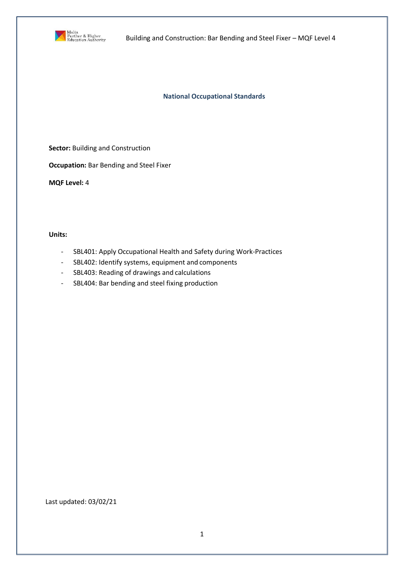

**National Occupational Standards**

**Sector: Building and Construction** 

**Occupation:** Bar Bending and Steel Fixer

**MQF Level:** 4

**Units:**

- SBL401: Apply Occupational Health and Safety during Work-Practices
- SBL402: Identify systems, equipment and components
- SBL403: Reading of drawings and calculations
- SBL404: Bar bending and steel fixing production

Last updated: 03/02/21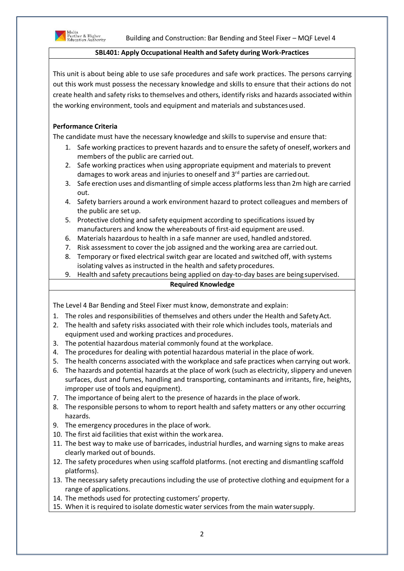

### **SBL401: Apply Occupational Health and Safety during Work-Practices**

This unit is about being able to use safe procedures and safe work practices. The persons carrying out this work must possess the necessary knowledge and skills to ensure that their actions do not create health and safety risks to themselves and others, identify risks and hazards associated within the working environment, tools and equipment and materials and substancesused.

# **Performance Criteria**

The candidate must have the necessary knowledge and skills to supervise and ensure that:

- 1. Safe working practices to prevent hazards and to ensure the safety of oneself, workers and members of the public are carried out.
- 2. Safe working practices when using appropriate equipment and materials to prevent damages to work areas and injuries to oneself and 3<sup>rd</sup> parties are carried out.
- 3. Safe erection uses and dismantling of simple access platforms less than 2m high are carried out.
- 4. Safety barriers around a work environment hazard to protect colleagues and members of the public are set up.
- 5. Protective clothing and safety equipment according to specifications issued by manufacturers and know the whereabouts of first-aid equipment are used.
- 6. Materials hazardous to health in a safe manner are used, handled andstored.
- 7. Risk assessment to cover the job assigned and the working area are carried out.
- 8. Temporary or fixed electrical switch gear are located and switched off, with systems isolating valves as instructed in the health and safety procedures.
- 9. Health and safety precautions being applied on day-to-day bases are being supervised.

# **Required Knowledge**

The Level 4 Bar Bending and Steel Fixer must know, demonstrate and explain:

- 1. The roles and responsibilities of themselves and others under the Health and SafetyAct.
- 2. The health and safety risks associated with their role which includes tools, materials and equipment used and working practices and procedures.
- 3. The potential hazardous material commonly found at the workplace.
- 4. The procedures for dealing with potential hazardous material in the place ofwork.
- 5. The health concerns associated with the workplace and safe practices when carrying out work.
- 6. The hazards and potential hazards at the place of work (such as electricity, slippery and uneven surfaces, dust and fumes, handling and transporting, contaminants and irritants, fire, heights, improper use of tools and equipment).
- 7. The importance of being alert to the presence of hazards in the place ofwork.
- 8. The responsible persons to whom to report health and safety matters or any other occurring hazards.
- 9. The emergency procedures in the place of work.
- 10. The first aid facilities that exist within the work area.
- 11. The best way to make use of barricades, industrial hurdles, and warning signs to make areas clearly marked out of bounds.
- 12. The safety procedures when using scaffold platforms. (not erecting and dismantling scaffold platforms).
- 13. The necessary safety precautions including the use of protective clothing and equipment for a range of applications.
- 14. The methods used for protecting customers' property.
- 15. When it is required to isolate domestic water services from the main watersupply.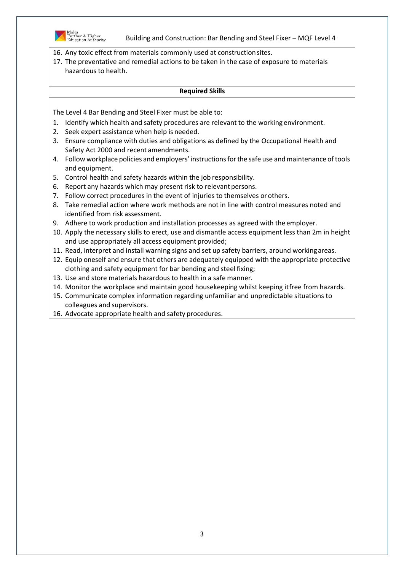

16. Any toxic effect from materials commonly used at constructionsites.

17. The preventative and remedial actions to be taken in the case of exposure to materials hazardous to health.

#### **Required Skills**

- 1. Identify which health and safety procedures are relevant to the working environment.
- 2. Seek expert assistance when help is needed.
- 3. Ensure compliance with duties and obligations as defined by the Occupational Health and Safety Act 2000 and recent amendments.
- 4. Follow workplace policies and employers' instructionsforthe safe use andmaintenance of tools and equipment.
- 5. Control health and safety hazards within the job responsibility.
- 6. Report any hazards which may present risk to relevant persons.
- 7. Follow correct procedures in the event of injuries to themselves orothers.
- 8. Take remedial action where work methods are not in line with control measures noted and identified from risk assessment.
- 9. Adhere to work production and installation processes as agreed with the employer.
- 10. Apply the necessary skills to erect, use and dismantle access equipment less than 2m in height and use appropriately all access equipment provided;
- 11. Read, interpret and install warning signs and set up safety barriers, around workingareas.
- 12. Equip oneself and ensure that others are adequately equipped with the appropriate protective clothing and safety equipment for bar bending and steel fixing;
- 13. Use and store materials hazardous to health in a safe manner.
- 14. Monitor the workplace and maintain good housekeeping whilst keeping itfree from hazards.
- 15. Communicate complex information regarding unfamiliar and unpredictable situations to colleagues and supervisors.
- 16. Advocate appropriate health and safety procedures.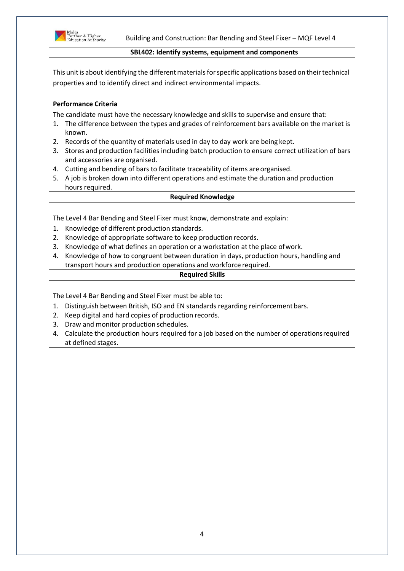

#### **SBL402: Identify systems, equipment and components**

This unit is about identifying the different materials for specific applications based on their technical properties and to identify direct and indirect environmental impacts.

# **Performance Criteria**

The candidate must have the necessary knowledge and skills to supervise and ensure that:

- 1. The difference between the types and grades of reinforcement bars available on the market is known.
- 2. Records of the quantity of materials used in day to day work are being kept.
- 3. Stores and production facilities including batch production to ensure correct utilization of bars and accessories are organised.
- 4. Cutting and bending of bars to facilitate traceability of items are organised.
- 5. A job is broken down into different operations and estimate the duration and production hours required.

## **Required Knowledge**

The Level 4 Bar Bending and Steel Fixer must know, demonstrate and explain:

- 1. Knowledge of different production standards.
- 2. Knowledge of appropriate software to keep production records.
- 3. Knowledge of what defines an operation or a workstation at the place ofwork.
- 4. Knowledge of how to congruent between duration in days, production hours, handling and transport hours and production operations and workforce required.

## **Required Skills**

- 1. Distinguish between British, ISO and EN standards regarding reinforcementbars.
- 2. Keep digital and hard copies of production records.
- 3. Draw and monitor production schedules.
- 4. Calculate the production hours required for a job based on the number of operationsrequired at defined stages.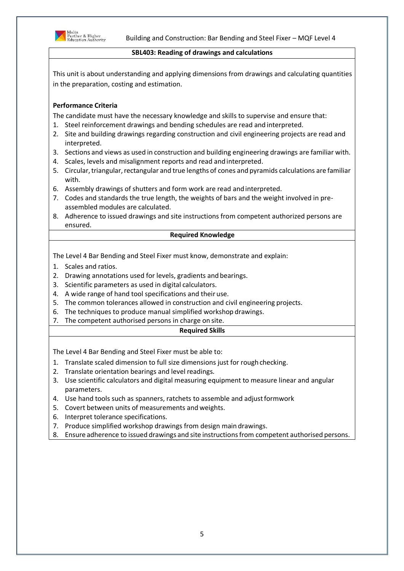

#### **SBL403: Reading of drawings and calculations**

This unit is about understanding and applying dimensions from drawings and calculating quantities in the preparation, costing and estimation.

# **Performance Criteria**

The candidate must have the necessary knowledge and skills to supervise and ensure that:

- 1. Steel reinforcement drawings and bending schedules are read and interpreted.
- 2. Site and building drawings regarding construction and civil engineering projects are read and interpreted.
- 3. Sections and views as used in construction and building engineering drawings are familiar with.
- 4. Scales, levels and misalignment reports and read andinterpreted.
- 5. Circular, triangular, rectangular and true lengths of cones and pyramids calculations are familiar with.
- 6. Assembly drawings of shutters and form work are read andinterpreted.
- 7. Codes and standards the true length, the weights of bars and the weight involved in preassembled modules are calculated.
- 8. Adherence to issued drawings and site instructions from competent authorized persons are ensured.

### **Required Knowledge**

The Level 4 Bar Bending and Steel Fixer must know, demonstrate and explain:

- 1. Scales and ratios.
- 2. Drawing annotations used for levels, gradients and bearings.
- 3. Scientific parameters as used in digital calculators.
- 4. A wide range of hand tool specifications and their use.
- 5. The common tolerances allowed in construction and civil engineering projects.
- 6. The techniques to produce manual simplified workshop drawings.
- 7. The competent authorised persons in charge on site.

#### **Required Skills**

- 1. Translate scaled dimension to full size dimensions just for rough checking.
- 2. Translate orientation bearings and level readings.
- 3. Use scientific calculators and digital measuring equipment to measure linear and angular parameters.
- 4. Use hand tools such as spanners, ratchets to assemble and adjust formwork
- 5. Covert between units of measurements and weights.
- 6. Interpret tolerance specifications.
- 7. Produce simplified workshop drawings from design main drawings.
- 8. Ensure adherence to issued drawings and site instructionsfrom competent authorised persons.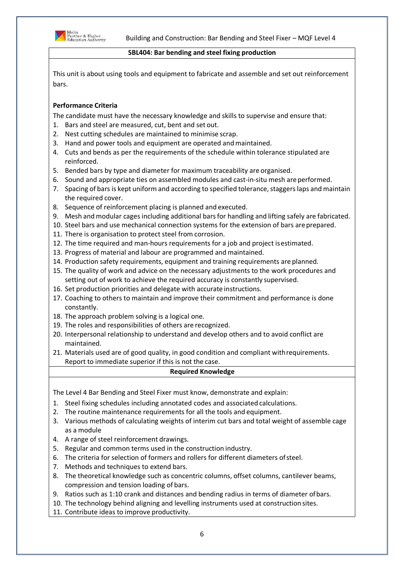

#### **SBL404: Bar bending and steel fixing production**

This unit is about using tools and equipment to fabricate and assemble and set out reinforcement bars.

# **Performance Criteria**

The candidate must have the necessary knowledge and skills to supervise and ensure that:

- 1. Bars and steel are measured, cut, bent and set out.
- 2. Nest cutting schedules are maintained to minimise scrap.
- 3. Hand and power tools and equipment are operated andmaintained.
- 4. Cuts and bends as per the requirements of the schedule within tolerance stipulated are reinforced.
- 5. Bended bars by type and diameter for maximum traceability are organised.
- 6. Sound and appropriate ties on assembled modules and cast-in-situ mesh areperformed.
- 7. Spacing of bars is kept uniform and according to specified tolerance, staggers laps and maintain the required cover.
- 8. Sequence of reinforcement placing is planned and executed.
- 9. Mesh and modular cages including additional barsfor handling and lifting safely are fabricated.
- 10. Steel bars and use mechanical connection systems for the extension of bars are prepared.
- 11. There is organisation to protect steel from corrosion.
- 12. The time required and man-hours requirements for a job and project isestimated.
- 13. Progress of material and labour are programmed and maintained.
- 14. Production safety requirements, equipment and training requirements are planned.
- 15. The quality of work and advice on the necessary adjustments to the work procedures and setting out of work to achieve the required accuracy is constantly supervised.
- 16. Set production priorities and delegate with accurate instructions.
- 17. Coaching to others to maintain and improve their commitment and performance is done constantly.
- 18. The approach problem solving is a logical one.
- 19. The roles and responsibilities of others are recognized.
- 20. Interpersonal relationship to understand and develop others and to avoid conflict are maintained.
- 21. Materials used are of good quality, in good condition and compliant withrequirements. Report to immediate superior if this is not the case.

## **Required Knowledge**

The Level 4 Bar Bending and Steel Fixer must know, demonstrate and explain:

- 1. Steel fixing schedules including annotated codes and associated calculations.
- 2. The routine maintenance requirements for all the tools and equipment.
- 3. Various methods of calculating weights of interim cut bars and total weight of assemble cage as a module
- 4. A range of steel reinforcement drawings.
- 5. Regular and common terms used in the construction industry.
- 6. The criteria for selection of formers and rollers for different diameters ofsteel.
- 7. Methods and techniques to extend bars.
- 8. The theoretical knowledge such as concentric columns, offset columns, cantilever beams, compression and tension loading of bars.
- 9. Ratios such as 1:10 crank and distances and bending radius in terms of diameter ofbars.
- 10. The technology behind aligning and levelling instruments used at construction sites.
- 11. Contribute ideas to improve productivity.